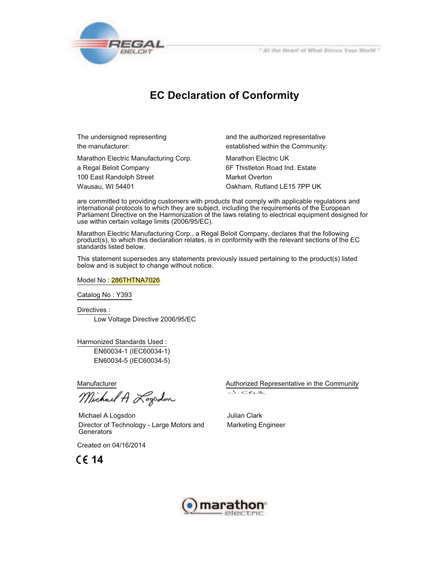

## **EC Declaration of Conformity**

Marathon Electric Manufacturing Corp. Marathon Electric UK

The undersigned representing and the authorized representative the manufacturer: established within the Community:

a Regal Beloit Company 6F Thistleton Road Ind. Estate 100 East Randolph Street Market Overton Wausau, WI 54401 Oakham, Rutland LE15 7PP UK

are committed to providing customers with products that comply with applicable regulations and international protocols to which they are subject, including the requirements of the European Parliament Directive on the Harmonization of the laws relating to electrical equipment designed for use within certain voltage limits (2006/95/EC).

Marathon Electric Manufacturing Corp., a Regal Beloit Company, declares that the following product(s), to which this declaration relates, is in conformity with the relevant sections of the EC standards listed below.

This statement supersedes any statements previously issued pertaining to the product(s) listed below and is subject to change without notice.

Model No : 286THTNA7026

Catalog No : Y393

Directives :

Low Voltage Directive 2006/95/EC

Harmonized Standards Used :

 EN60034-1 (IEC60034-1) EN60034-5 (IEC60034-5)

Michael A Logodon

Michael A Logsdon Director of Technology - Large Motors and **Generators** 

Created on 04/16/2014

**14**

Manufacturer **Authorized Representative in the Community** Authorized Representative in the Community

J. Clip

Julian Clark Marketing Engineer

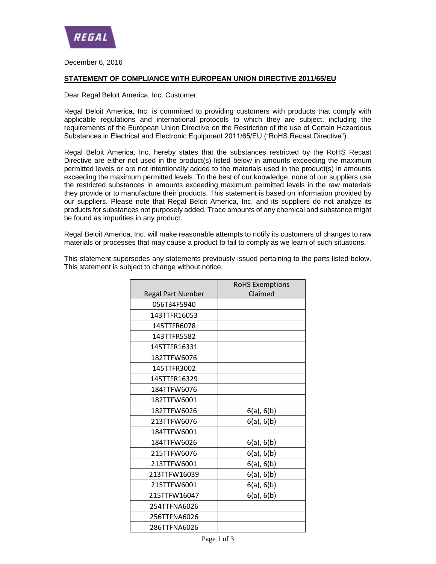

December 6, 2016

## **STATEMENT OF COMPLIANCE WITH EUROPEAN UNION DIRECTIVE 2011/65/EU**

## Dear Regal Beloit America, Inc. Customer

Regal Beloit America, Inc. is committed to providing customers with products that comply with applicable regulations and international protocols to which they are subject, including the requirements of the European Union Directive on the Restriction of the use of Certain Hazardous Substances in Electrical and Electronic Equipment 2011/65/EU ("RoHS Recast Directive").

Regal Beloit America, Inc. hereby states that the substances restricted by the RoHS Recast Directive are either not used in the product(s) listed below in amounts exceeding the maximum permitted levels or are not intentionally added to the materials used in the product(s) in amounts exceeding the maximum permitted levels. To the best of our knowledge, none of our suppliers use the restricted substances in amounts exceeding maximum permitted levels in the raw materials they provide or to manufacture their products. This statement is based on information provided by our suppliers. Please note that Regal Beloit America, Inc. and its suppliers do not analyze its products for substances not purposely added. Trace amounts of any chemical and substance might be found as impurities in any product.

Regal Beloit America, Inc. will make reasonable attempts to notify its customers of changes to raw materials or processes that may cause a product to fail to comply as we learn of such situations.

|                          | <b>RoHS Exemptions</b> |
|--------------------------|------------------------|
| <b>Regal Part Number</b> | Claimed                |
| 056T34F5940              |                        |
| 143TTFR16053             |                        |
| 145TTFR6078              |                        |
| 143TTFR5582              |                        |
| 145TTFR16331             |                        |
| 182TTFW6076              |                        |
| 145TTFR3002              |                        |
| 145TTFR16329             |                        |
| 184TTFW6076              |                        |
| 182TTFW6001              |                        |
| 182TTFW6026              | 6(a), 6(b)             |
| 213TTFW6076              | 6(a), 6(b)             |
| 184TTFW6001              |                        |
| 184TTFW6026              | 6(a), 6(b)             |
| 215TTFW6076              | $6(a)$ , $6(b)$        |
| 213TTFW6001              | 6(a), 6(b)             |
| 213TTFW16039             | 6(a), 6(b)             |
| 215TTFW6001              | 6(a), 6(b)             |
| 215TTFW16047             | 6(a), 6(b)             |
| 254TTFNA6026             |                        |
| 256TTFNA6026             |                        |
| 286TTFNA6026             |                        |

This statement supersedes any statements previously issued pertaining to the parts listed below. This statement is subject to change without notice.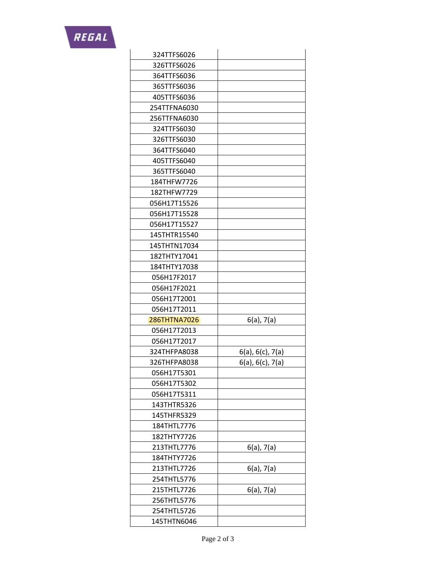

| 324TTFS6026  |                          |
|--------------|--------------------------|
| 326TTFS6026  |                          |
| 364TTFS6036  |                          |
| 365TTFS6036  |                          |
| 405TTFS6036  |                          |
| 254TTFNA6030 |                          |
| 256TTFNA6030 |                          |
| 324TTFS6030  |                          |
| 326TTFS6030  |                          |
| 364TTFS6040  |                          |
| 405TTFS6040  |                          |
| 365TTFS6040  |                          |
| 184THFW7726  |                          |
| 182THFW7729  |                          |
| 056H17T15526 |                          |
| 056H17T15528 |                          |
| 056H17T15527 |                          |
| 145THTR15540 |                          |
| 145THTN17034 |                          |
| 182THTY17041 |                          |
| 184THTY17038 |                          |
| 056H17F2017  |                          |
| 056H17F2021  |                          |
| 056H17T2001  |                          |
| 056H17T2011  |                          |
| 286THTNA7026 | $6(a)$ , 7 $(a)$         |
| 056H17T2013  |                          |
| 056H17T2017  |                          |
| 324THFPA8038 | $6(a)$ , $6(c)$ , $7(a)$ |
| 326THFPA8038 | $6(a)$ , $6(c)$ , $7(a)$ |
| 056H17T5301  |                          |
| 056H17T5302  |                          |
| 056H17T5311  |                          |
| 143THTR5326  |                          |
| 145THFR5329  |                          |
| 184THTL7776  |                          |
| 182THTY7726  |                          |
| 213THTL7776  | $6(a)$ , 7 $(a)$         |
| 184THTY7726  |                          |
| 213THTL7726  | $6(a)$ , $7(a)$          |
| 254THTL5776  |                          |
| 215THTL7726  | $6(a)$ , 7 $(a)$         |
| 256THTL5776  |                          |
| 254THTL5726  |                          |
| 145THTN6046  |                          |